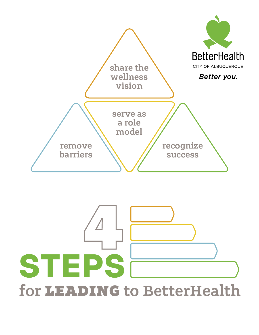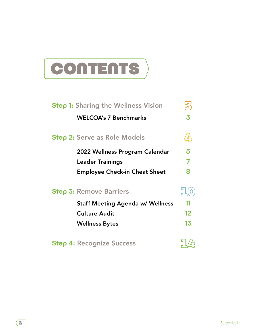

**2**

| <b>Step 1: Sharing the Wellness Vision</b> |         |
|--------------------------------------------|---------|
| <b>WELCOA's 7 Benchmarks</b>               |         |
| <b>Step 2: Serve as Role Models</b>        |         |
| 2022 Wellness Program Calendar             | 5       |
| <b>Leader Trainings</b>                    | 7       |
| <b>Employee Check-in Cheat Sheet</b>       | 8       |
| <b>Step 3: Remove Barriers</b>             |         |
| <b>Staff Meeting Agenda w/ Wellness</b>    | 11      |
| <b>Culture Audit</b>                       | $12 \,$ |
| <b>Wellness Bytes</b>                      | 13      |
| <b>Step 4: Recognize Success</b>           |         |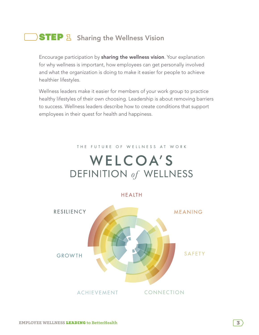# **STEP** 1 Sharing the Wellness Vision

Encourage participation by **sharing the wellness vision**. Your explanation for why wellness is important, how employees can get personally involved and what the organization is doing to make it easier for people to achieve healthier lifestyles.

Wellness leaders make it easier for members of your work group to practice healthy lifestyles of their own choosing. Leadership is about removing barriers to success. Wellness leaders describe how to create conditions that support employees in their quest for health and happiness.

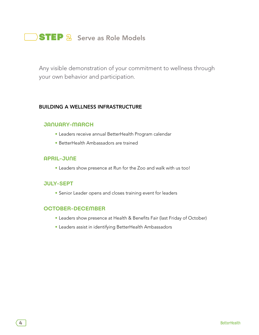# STEP **2** Serve as Role Models

Any visible demonstration of your commitment to wellness through your own behavior and participation.

## BUILDING A WELLNESS INFRASTRUCTURE

## JANUARY-MARCH

- Leaders receive annual BetterHealth Program calendar
- BetterHealth Ambassadors are trained

## APRIL-JUNE

• Leaders show presence at Run for the Zoo and walk with us too!

## JULY-SEPT

• Senior Leader opens and closes training event for leaders

## OCTOBER-DECEMBER

- Leaders show presence at Health & Benefits Fair (last Friday of October)
- Leaders assist in identifying BetterHealth Ambassadors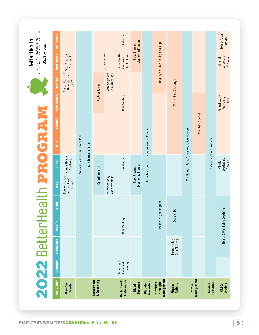|                                                                             | <b>INITIATIVES</b>    | One-Day<br><b>Events</b>                     |                                  |                      | Assessment<br>& Screening |                                      | <b>BetterHealth</b><br>Ambassador                | Pressure<br>Blood                           | Prevention<br><b>Diabetes</b>               | Management<br>& Weight<br>Nutrition | <b>Physical</b><br>Activity     |                                            | Management<br><b>Stress</b> | Cessation<br><b>Tobacco</b> | <b>Leaders</b><br>CABO                  |
|-----------------------------------------------------------------------------|-----------------------|----------------------------------------------|----------------------------------|----------------------|---------------------------|--------------------------------------|--------------------------------------------------|---------------------------------------------|---------------------------------------------|-------------------------------------|---------------------------------|--------------------------------------------|-----------------------------|-----------------------------|-----------------------------------------|
|                                                                             | <b><i>JANUARY</i></b> |                                              |                                  |                      |                           |                                      | BetterHealth<br>Ambassador<br>Training           |                                             |                                             |                                     |                                 |                                            |                             |                             |                                         |
| 2022 Bettert                                                                | <b>FEBRUARY</b>       |                                              |                                  |                      |                           |                                      |                                                  |                                             |                                             |                                     | Step Challenge<br>Heart Healthy |                                            |                             |                             |                                         |
|                                                                             | <b>MARCH</b>          |                                              |                                  |                      |                           |                                      | <b>BHA Meeting</b>                               |                                             |                                             |                                     |                                 |                                            |                             |                             | Health & Well-being Coaching            |
|                                                                             | <b>APRIL</b>          |                                              |                                  |                      |                           |                                      |                                                  |                                             |                                             | Healthy Weight Program              | Desk to 5K                      |                                            |                             |                             |                                         |
| Palth PROGRAM                                                               | <b>NIAV</b>           | Run for the Zoo<br>and Walk with<br>Us too!  |                                  |                      |                           | Van Screenings<br><b>Mammography</b> |                                                  |                                             |                                             |                                     |                                 |                                            |                             |                             |                                         |
|                                                                             | <b>JUNE</b>           | Annual Health<br>Academy                     |                                  |                      | Open Enrollment           |                                      | <b>BHA</b> Meeting                               | Monitoring Program<br><b>Blood Pressure</b> |                                             |                                     |                                 |                                            |                             |                             | Leadership<br>4-weeks<br>Mindful        |
|                                                                             | <b>ATIOT</b>          |                                              | Personal Health Assessment (PHA) | Mobile Health Center |                           |                                      |                                                  |                                             | Good Measures - Diabetes Prevention Program |                                     |                                 | Mindfulness Based Stress Reduction Program |                             | Tobacco Cessation Program   |                                         |
|                                                                             | <b>AUGUST</b>         |                                              |                                  |                      |                           |                                      |                                                  |                                             |                                             |                                     |                                 |                                            | Well-being Series           |                             |                                         |
|                                                                             | <b>SEPTEMBER</b>      |                                              |                                  |                      |                           |                                      | <b>BHA Meeting</b>                               |                                             |                                             |                                     |                                 |                                            |                             |                             | Annual Leader<br>Well-being<br>Training |
|                                                                             | <b>OCTOBER</b>        | Annual Health &<br>Benefits Fair<br>(Oct 28) |                                  |                      | Flu Shot Events           | Mammography<br>Van Screenings        |                                                  |                                             |                                             |                                     | Million Step Challenge          |                                            |                             |                             |                                         |
| CITY OF ALBUQUERQUE AND<br>PARTICIPATING GOVERNMENT ENTITIES<br>Better you. | <b>NOVEMBER</b>       | Great American<br>Smokeout                   |                                  |                      |                           | Culture Survey                       | <b>BetterHealth</b><br>Ambassador<br>Application |                                             |                                             | Healthy & Whole Holiday Challenge   |                                 |                                            |                             |                             | Leadership<br>4-weeks<br>Mindful        |
|                                                                             | <b>DECEMBER</b>       |                                              |                                  |                      |                           |                                      | <b>BHA</b> Meeting                               | Monitoring Program<br><b>Blood Pressure</b> |                                             |                                     |                                 |                                            |                             |                             | Leader Focus<br>Groups                  |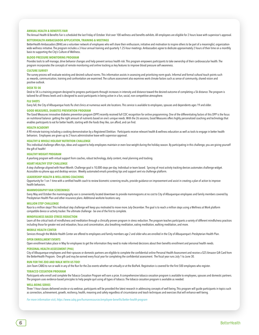### **ANNUAL HEALTH & BENEFITS FAIR**

The Annual Health & Benefits Fair is scheduled the last Friday of October. Visit over 100 wellness and benefits exhibits. All employees are eligible for 2 hours leave with supervisor's approval.

### **BETTERHEALTH AMBASSADOR APPLICATION, TRAINING & MEETINGS**

BetterHealth Ambassadors (BHA) are a volunteer network of employees who will share their enthusiasm, initiative and motivation to inspire others to be part of a meaningful, organizationwide wellness initiative. The program includes a 3-hour annual training and quarterly 1.25-hour meetings. Ambassadors agree to dedicate approximately 2 hours of their time on a monthly basis to supporting the City's Culture of Wellness.

### **BLOOD PRESSURE MONITORING PROGRAM**

Provides tools to self-manage, drive behavior changes and help prevent serious health risk. This program empowers participants to take ownership of their cardiovascular health. The program incorporates the concepts of remote monitoring and online tracking as key features to improve blood pressure self-awareness.

### **CULTURE SURVEY**

The survey process will evaluate existing and desired cultural norms. This information assists in assessing and prioritizing norm goals. Informal and formal cultural touch points such as rewards, communication, training and confrontation are examined. The culture assessment also examines work climate factors such as sense of community, shared vision and positive outlook.

### **DESK TO 5K**

Desk to 5K is a training program designed to progress participants through increases in intensity and distance toward the desired outcome of completing a 5k distance. The program is tailored for all fitness levels and is designed to assist participants in being active in a fun, social, non-competitive atmosphere.

### **FLU SHOTS**

Every fall, the City of Albuquerque hosts flu shot clinics at numerous work site locations. This service is available to employees, spouses and dependents ages 19 and older.

#### **GOOD MEASURES, DIABETES PREVENTION PROGRAM**

The Good Measures innovative diabetes prevention program (DPP) recently received full CDC recognition for online programming. One of the differentiating factors of this DPP is the focus on nutritional balance: getting the right amount of nutrients based on one's unique needs. With the 26 sessions, Good Measures offers highly personalized coaching and technology that enables participants to eat for better health, starting with the foods they like, can afford, and can find.

### **HEALTH ACADEMY**

A 90-minute training including a cooking demonstration by a Registered Dietitian. Participants receive relevant health & wellness education as well as tools to engage in better health behaviors. Employees are given up to 2 hours administrative leave with supervisor approval.

### **HEALTHY & WHOLE HOLIDAY NUTRITION CHALLENGE**

This individual challenge offers tips, ideas and support to help employees maintain or even lose weight during the holiday season. By participating in this challenge, you are giving yourself the gift of health!

### **HEALTHY WEIGHT PROGRAM**

A yearlong program with virtual support from coaches, robust technology, daily content, meal planning and tracking.

### **HEART HEALTHY STEP CHALLENGE**

A step challenge aligned with Heart Month. Challenge goal is 10,000 steps per day. Individual or team based. Syncing of most activity tracking devices automates challenge widget. Accessible via phone app and desktop version. Weekly automated emails providing tips and support sent via challenge platform.

### **LEADERSHIP HEALTH & WELL-BEING COACHING**

Opportunity for 1-on-1 time with a certified health coach to review biometric screening results, provide guidance on improvement and assist in creating a plan of action to improve health behaviors.

### **MAMMOGRAPHY VAN SCREENINGS**

Every May and October the mammography van is conveniently located downtown to provide mammograms at no cost to City of Albuquerque employees and family members covered by Presbyterian Health Plan and other insurance plans. Additional worksite locations vary.

#### **MILLION STEP CHALLENGE**

Race to a million steps! This individual step challenge will keep you motivated to move more July-December. The goal is to reach a million steps using a Wellness at Work platform compatible device or activity tracker. The ultimate challenge - be one of the first to complete.

### **MINDFULNESS BASED STRESS REDUCTION**

Learn all the critical tools of mindfulness and meditation through a clinically proven program in stress reduction. The program teaches participants a variety of different mindfulness practices including those for greater rest and relaxation, focus and concentration, also breathing meditation, eating meditation, walking meditation, and more.

### **MOBILE HEALTH CENTER**

Services through the Mobile Health Center are offered to employees and family members age 2 and older who are enrolled in the City of Albuquerque's Presbyterian Health Plan.

#### **OPEN ENROLLMENT EVENTS**

Open enrollment takes place in May for employees to get the information they need to make informed decisions about their benefits enrollment and personal health needs.

### **PERSONAL HEALTH ASSESSMENT (PHA)**

City of Albuquerque employees and their spouses or domestic partners are eligible to complete the confidential online Personal Health Assessment and receive a \$25 Amazon Gift Card from the BetterHealth Program. One gift card may be earned every fiscal year for completing the confidential assessment. The fiscal year runs July 1 to June 30.

### **RUN FOR THE ZOO AND WALK WITH US TOO!**

Join Team CABQ to run or walk in any of the Run for the Zoo events whether set virtually or at the BioPark. Registration is covered for the first 500 employees who register.

### **TOBACCO CESSATION PROGRAM**

Participants who enroll and complete the Tobacco Cessation Program will earn a prize. A comprehensive tobacco cessation program is available to employees, spouses and domestic partners. The program uses evidence-based principles to help people quit using all types of tobacco. The tobacco cessation program is available as needed.

#### **WELL-BEING SERIES**

**6**

Three 1-hour classes delivered onsite or via webinar, participants will be provided the latest research in addressing concepts of well-being. This program will guide participants in topics such as connection, achievement, growth, resiliency, health, meaning and safety regardless of circumstance and teach techniques and exercises that will enhance well-being.

*For more information visit, https://www.cabq.gov/humanresources/employee-benefi ts/better-health-program*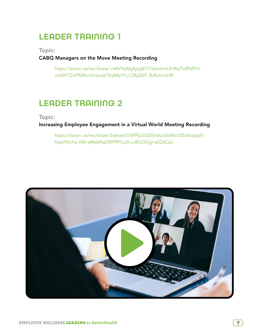# LEADER TRAINING 1

Topic:

## CABQ Managers on the Move Meeting Recording

[https://zoom.us/rec/share/-mKVYaAkjApjq6T1Q6m6ml3HRqTtdPMTH](https://zoom.us/rec/share/-mKVYaAkjApjq6T1Q6m6ml3HRqTtdPMTH-msWhTZePfDRz-kImynzeTfryMsiYYJ.CByD2F_8JKzmruHR)[msWhTZePfDRz-kImynzeTfryMsiYYJ.CByD2F\\_8JKzmruHR](https://zoom.us/rec/share/-mKVYaAkjApjq6T1Q6m6ml3HRqTtdPMTH-msWhTZePfDRz-kImynzeTfryMsiYYJ.CByD2F_8JKzmruHR)

# LEADER TRAINING 2

Topic:

Increasing Employee Engagement in a Virtual World Meeting Recording

[https://zoom.us/rec/share/3wkoeUGM9EpDd2En6Uo0ttRxcYZbhbqhjsFc](https://zoom.us/rec/share/3wkoeUGM9EpDd2En6Uo0ttRxcYZbhbqhjsFcNxpP0n7w-XW-yMebNaD0Ff9FLLjA.vJ8GOGgI-e0ZdC6J) [NxpP0n7w-XW-yMebNaD0Ff9FLLjA.vJ8GOGgI-e0ZdC6J](https://zoom.us/rec/share/3wkoeUGM9EpDd2En6Uo0ttRxcYZbhbqhjsFcNxpP0n7w-XW-yMebNaD0Ff9FLLjA.vJ8GOGgI-e0ZdC6J)

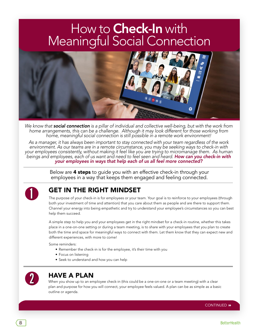# How to **Check-In** with Meaningful Social Connection



We know that **social connection** is a pillar of individual and collective well-being, but with the work from<br>home arrangements, this can be a challenge. Although it may look different for those working from<br>home, meaningfu

*As a manager, it has always been important to stay connected with your team regardless of the work*  your employees consistently, without making it feel like you are trying to micromanage them. As human *beings and employees, each of us want and need to feel seen and heard. How can you check-in with your employees in ways that help each of us all feel more connected?*

> Below are 4 steps to guide you with an effective check-in through your employees in a way that keeps them engaged and feeling connected.



## GET IN THE RIGHT MINDSET

The purpose of your check-in is for employees or your team. Your goal is to reinforce to your employees (through both your investment of time and attention) that you care about them as people and are there to support them. Channel your energy into being empathetic and try to understand your employee's circumstances so you can best help them succeed.

A simple step to help you and your employees get in the right mindset for a check-in routine, whether this takes place in a one-on-one setting or during a team meeting, is to share with your employees that you plan to create both the time and space for meaningful ways to connect with them. Let them know that they can expect new and different experiences, with more to come!

Some reminders:

- Remember the check-in is for the employee, it's their time with you
- Focus on listening
- Seek to understand and how you can help



## HAVE A PLAN

When you show up to an employee check-in (this could be a one-on-one or a team meeting) with a clear plan and purpose for how you will connect, your employee feels valued. A plan can be as simple as a basic outline or agenda.

CONTINUED »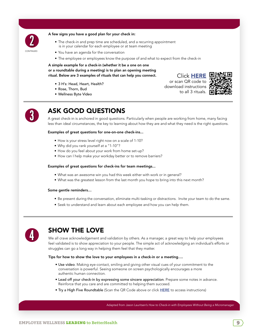

### A few signs you have a good plan for your check in:

- The check-in and prep time are scheduled, and a recurring appointment is in your calendar for each employee or at team meeting
- You have an agenda for the conversation
- The employee or employees know the purpose of and what to expect from the check-in

### A simple example for a check-in (whether it be a one on one or a roundtable during a meeting) is to plan an opening meeting ritual. Below are 3 examples of rituals that can help you connect.

- 3 H's: Head, Heart, Health?
- Rose, Thorn, Bud
- Wellness Byte Video

Click [HERE](http://docs.phs.org/idc/groups/public/documents/phscontent/pel_00954886.pdf) 

or scan QR code to download instructions to all 3 rituals.





## ASK GOOD QUESTIONS

A great check-in is anchored in good questions. Particularly when people are working from home, many facing less than ideal circumstances, the key to learning about how they are and what they need is the right questions.

### Examples of great questions for one-on-one check-ins...

- How is your stress level right now on a scale of 1-10?
- Why did you rank yourself at a "1-10"?
- How do you feel about your work from home set-up?
- How can I help make your workday better or to remove barriers?

### Examples of great questions for check-ins for team meetings...

- What was an awesome win you had this week either with work or in general?
- What was the greatest lesson from the last month you hope to bring into this next month?

### Some gentle reminders…

- Be present during the conversation, eliminate multi-tasking or distractions. Invite your team to do the same.
- Seek to understand and learn about each employee and how you can help them.



## SHOW THE LOVE

We all crave acknowledgement and validation by others. As a manager, a great way to help your employees feel validated is to show appreciation to your people. The simple act of acknowledging an individual's efforts or struggles can go a long way in helping them feel that they matter.

### Tips for how to show the love to your employees in a check-in or a meeting….

- Use video. Making eye-contact, smiling and giving other visual cues of your commitment to the conversation is powerful. Seeing someone on screen psychologically encourages a more authentic human connection.
- Lead off your check-in by expressing some sincere appreciation. Prepare some notes in advance. Reinforce that you care and are committed to helping them succeed.
- Try a High Five Roundtable (Scan the QR Code above or click [HERE](http://docs.phs.org/idc/groups/public/documents/phscontent/pel_00954886.pdf) to access instructions)

Adapted from Jason Lauritsen's *How to Check-in with Employees Without Being a Micromanager*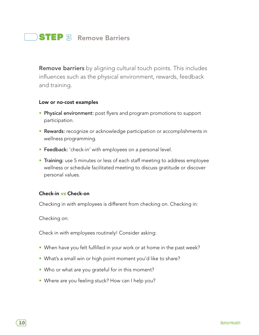# STEP **3** Remove Barriers

Remove barriers by aligning cultural touch points. This includes influences such as the physical environment, rewards, feedback and training.

### Low or no-cost examples

- Physical environment: post flyers and program promotions to support participation.
- Rewards: recognize or acknowledge participation or accomplishments in wellness programming.
- Feedback: 'check-in' with employees on a personal level.
- Training: use 5 minutes or less of each staff meeting to address employee wellness or schedule facilitated meeting to discuss gratitude or discover personal values.

## Check-in *vs* Check-on

Checking in with employees is different from checking on. Checking in:

Checking on:

Check in with employees routinely! Consider asking:

- When have you felt fulfilled in your work or at home in the past week?
- What's a small win or high point moment you'd like to share?
- Who or what are you grateful for in this moment?
- Where are you feeling stuck? How can I help you?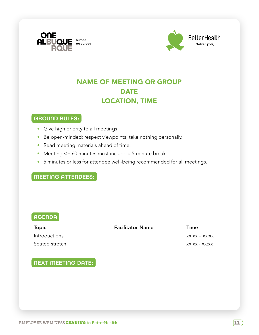



# NAME OF MEETING OR GROUP **DATE** LOCATION, TIME

## **GROUND RULES:**

- Give high priority to all meetings
- Be open-minded; respect viewpoints; take nothing personally.
- Read meeting materials ahead of time.
- Meeting <= 60 minutes must include a 5-minute break.
- 5 minutes or less for attendee well-being recommended for all meetings.

## MEETING ATTENDEES:

| ne |     |  |
|----|-----|--|
|    | END |  |
|    |     |  |

## Topic **Facilitator Name** Time

Introductions xx:xx – xx:xx Seated stretch xx:xx - xx:xx x - xx:xx - xx:xx - xx:xx - xx:xx - xx:xx - xx:xx - xx:xx - xx:xx - xx:xx - xx:xx

## NEXT MEETING DATE: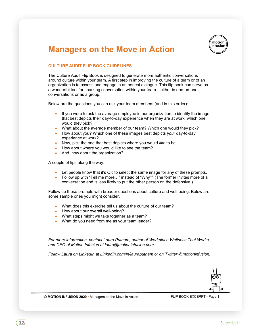

# **Managers on the Move in Action**

### **CULTURE AUDIT FLIP BOOK GUIDELINES**

conversations or as a group. a wonderful tool for sparking conversation within your team – either in one-on-one organization is to assess and engage in an honest dialogue. This flip book can serve as around culture within your team. A first step in improving the culture of a team or of an The Culture Audit Flip Book is designed to generate more authentic conversations

Below are the questions you can ask your team members (and in this order):

- would they pick? that best depicts their day-to-day experience when they are at work, which one • If you were to ask the average employee in our organization to identify the image
- What about the average member of our team? Which one would they pick?
- experience at work? • How about you? Which one of these images best depicts *your* day-to-day
- Now, pick the one that best depicts where you would *like* to be.
- How about where you would like to see the team?
- And, how about the organization?

A couple of tips along the way:

- Let people know that it's OK to select the same image for any of these prompts.
- conversation and is less likely to put the other person on the defensive.) • Follow up with "Tell me more…" instead of "Why?" (The former invites more of a

some sample ones you might consider. Follow up these prompts with broader questions about culture and well-being. Below are

- What does this exercise tell us about the culture of our team?
- How about our overall well-being?
- What steps might we take together as a team?
- What do you need from me as your team leader?

*and CEO of Motion Infusion at laura@motioninfusion.com. For more information, contact Laura Putnam, author of Workplace Wellness That Works*

*Follow Laura on LinkedIn at LinkedIn.com/in/lauraputnam or on Twitter @motioninfusion.*



© **MOTION INFUSION 2020 •** Managers on the Move in Action FLIP BOOK EXCERPT • Page 1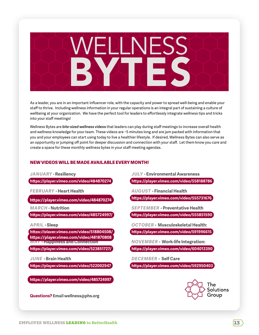

As a leader, you are in an important influencer role, with the capacity and power to spread well-being and enable your staff to thrive. Including wellness information in your regular operations is an integral part of sustaining a culture of wellbeing at your organization. We have the perfect tool for leaders to effortlessly integrate wellness tips and tricks into your staff meetings!

Wellness Bytes are *bite-sized* **wellness videos** that leaders can play during staff meetings to increase overall health and wellness knowledge for your team. These videos are ~5 minutes long and are jam packed with information that you and your employees can start using today to live a healthier lifestyle. If desired, Wellness Bytes can also serve as an opportunity or jumping off point for deeper discussion and connection with your staff. Let them know you care and create a space for these monthly wellness bytes in your staff meeting agendas.

### **NEW VIDEOS WILL BE MADE AVAILABLE EVERY MONTH!**

*JANUARY* **- Resiliency htt ps://player.vimeo.com/video/484870274** *FEBRUARY* **- Heart Health htt ps://player.vimeo.com/video/481870808 <https://player.vimeo.com/video/484870274>** *MARCH* **- Nutrition htt ps://player.vimeo.com/video/485724997/** *APRIL* **- Sleep htt ps://player.vimeo.com/video/518804508/** *MAY* **- Happiness and Connection htt ps://player.vimeo.com/video/523851727/** *JUNE* **- Brain Health htt ps://player.vimeo.com/video/522002947 Questions? Email wellness@phs.org Questions? Email wellness@phs.org<https://player.vimeo.com/video/481870808> <https://player.vimeo.com/video/485724997>**

*JULY* **- Environmental Awareness htt ps://player.vimeo.com/video/558188786** *AUGUST* **- Financial Health htt ps://player.vimeo.com/video/555731676** *SEPTEMBER* **- Preventative Health htt ps://player.vimeo.com/video/555851590** *OCTOBER* **- Musculoskeletal Health: htt ps://player.vimeo.com/video/591996615** *NOVEMBER* **- Work-life Integration: htt ps://player.vimeo.com/video/604013390**  *DECEMBER* **- Self Care htt ps://player.vimeo.com/video/592950403**

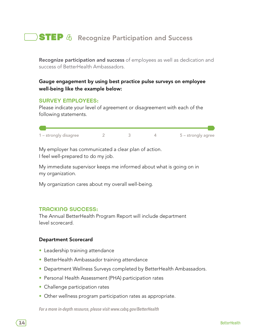# **STEP** 4 Recognize Participation and Success

Recognize participation and success of employees as well as dedication and success of BetterHealth Ambassadors.

## Gauge engagement by using best practice pulse surveys on employee well-being like the example below:

## SURVEY EMPLOYEES:

Please indicate your level of agreement or disagreement with each of the following statements.

| I – strongly disagree |  | 5 – strongly agree |
|-----------------------|--|--------------------|

My employer has communicated a clear plan of action. I feel well-prepared to do my job.

My immediate supervisor keeps me informed about what is going on in my organization.

My organization cares about my overall well-being.

## TRACKING SUCCESS:

The Annual BetterHealth Program Report will include department level scorecard.

## Department Scorecard

- Leadership training attendance
- BetterHealth Ambassador training attendance
- Department Wellness Surveys completed by BetterHealth Ambassadors.
- Personal Health Assessment (PHA) participation rates
- Challenge participation rates
- Other wellness program participation rates as appropriate.

*For a more in-depth resource, please visit [www.cabq.gov/BetterHealth](http://www.cabq.gov/BetterHealth)*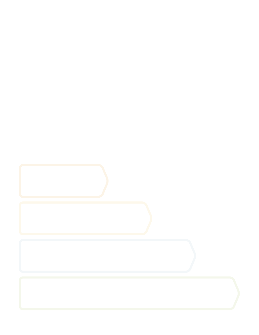